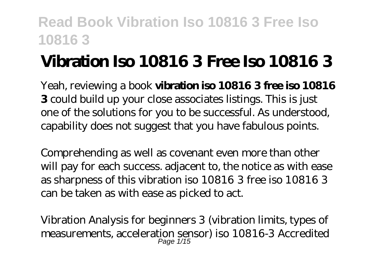# **Vibration Iso 10816 3 Free Iso 10816 3**

Yeah, reviewing a book **vibration iso 10816 3 free iso 10816 3** could build up your close associates listings. This is just one of the solutions for you to be successful. As understood, capability does not suggest that you have fabulous points.

Comprehending as well as covenant even more than other will pay for each success. adjacent to, the notice as with ease as sharpness of this vibration iso 10816 3 free iso 10816 3 can be taken as with ease as picked to act.

*Vibration Analysis for beginners 3 (vibration limits, types of measurements, acceleration sensor) iso 10816-3* Accredited Page 1/15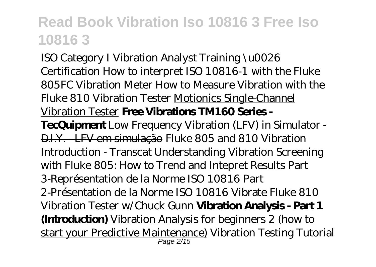ISO Category I Vibration Analyst Training \u0026 Certification How to interpret ISO 10816-1 with the Fluke 805FC Vibration Meter How to Measure Vibration with the Fluke 810 Vibration Tester Motionics Single-Channel Vibration Tester **Free Vibrations TM160 Series - TecQuipment** Low Frequency Vibration (LFV) in Simulator - D.I.Y. - LFV em simulação *Fluke 805 and 810 Vibration Introduction - Transcat* Understanding Vibration Screening with Fluke 805: How to Trend and Intepret Results *Part 3-Représentation de la Norme ISO 10816 Part 2-Présentation de la Norme ISO 10816* Vibrate Fluke 810 Vibration Tester w/Chuck Gunn **Vibration Analysis - Part 1 (Introduction)** Vibration Analysis for beginners 2 (how to start your Predictive Maintenance) *Vibration Testing Tutorial* Page 2/15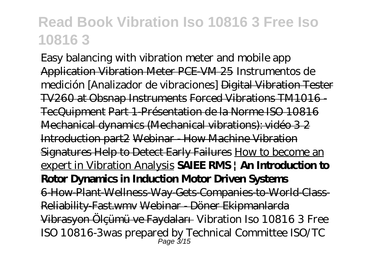Easy balancing with vibration meter and mobile app Application Vibration Meter PCE-VM 25 Instrumentos de medición [Analizador de vibraciones] Digital Vibration Tester TV260 at Obsnap Instruments Forced Vibrations TM1016 - TecQuipment Part 1-Présentation de la Norme ISO 10816 Mechanical dynamics (Mechanical vibrations): vidéo 3 2 Introduction part2 Webinar - How Machine Vibration Signatures Help to Detect Early Failures How to become an expert in Vibration Analysis **SAIEE RMS | An Introduction to Rotor Dynamics in Induction Motor Driven Systems** 6-How-Plant-Wellness-Way-Gets-Companies-to-World-Class-Reliability-Fast.wmv Webinar - Döner Ekipmanlarda Vibrasyon Ölçümü ve Faydaları *Vibration Iso 10816 3 Free* ISO 10816-3was prepared by Technical Committee ISO/TC Page 3/15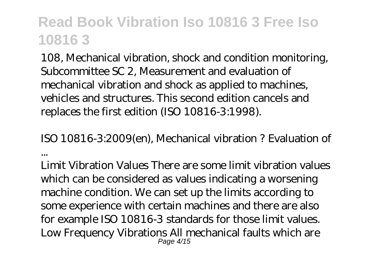108, Mechanical vibration, shock and condition monitoring, Subcommittee SC 2, Measurement and evaluation of mechanical vibration and shock as applied to machines, vehicles and structures. This second edition cancels and replaces the first edition (ISO 10816-3:1998).

*ISO 10816-3:2009(en), Mechanical vibration ? Evaluation of ...*

Limit Vibration Values There are some limit vibration values which can be considered as values indicating a worsening machine condition. We can set up the limits according to some experience with certain machines and there are also for example ISO 10816-3 standards for those limit values. Low Frequency Vibrations All mechanical faults which are Page 4/15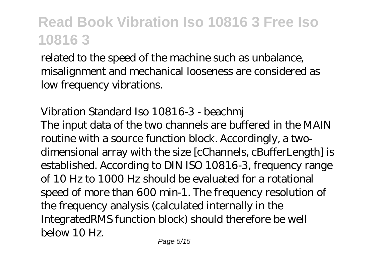related to the speed of the machine such as unbalance, misalignment and mechanical looseness are considered as low frequency vibrations.

#### *Vibration Standard Iso 10816-3 - beachmj*

The input data of the two channels are buffered in the MAIN routine with a source function block. Accordingly, a twodimensional array with the size [cChannels, cBufferLength] is established. According to DIN ISO 10816-3, frequency range of 10 Hz to 1000 Hz should be evaluated for a rotational speed of more than 600 min-1. The frequency resolution of the frequency analysis (calculated internally in the IntegratedRMS function block) should therefore be well below 10 Hz.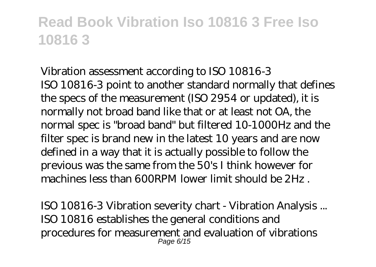*Vibration assessment according to ISO 10816-3* ISO 10816-3 point to another standard normally that defines the specs of the measurement (ISO 2954 or updated), it is normally not broad band like that or at least not OA, the normal spec is "broad band" but filtered 10-1000Hz and the filter spec is brand new in the latest 10 years and are now defined in a way that it is actually possible to follow the previous was the same from the 50's I think however for machines less than 600RPM lower limit should be 2Hz .

*ISO 10816-3 Vibration severity chart - Vibration Analysis ...* ISO 10816 establishes the general conditions and procedures for measurement and evaluation of vibrations Page 6/15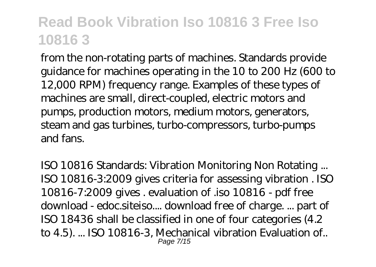from the non-rotating parts of machines. Standards provide guidance for machines operating in the 10 to 200 Hz (600 to 12,000 RPM) frequency range. Examples of these types of machines are small, direct-coupled, electric motors and pumps, production motors, medium motors, generators, steam and gas turbines, turbo-compressors, turbo-pumps and fans.

*ISO 10816 Standards: Vibration Monitoring Non Rotating ...* ISO 10816-3:2009 gives criteria for assessing vibration . ISO 10816-7:2009 gives . evaluation of .iso 10816 - pdf free download - edoc.siteiso.... download free of charge. ... part of ISO 18436 shall be classified in one of four categories (4.2 to 4.5). ... ISO 10816-3, Mechanical vibration Evaluation of.. Page 7/15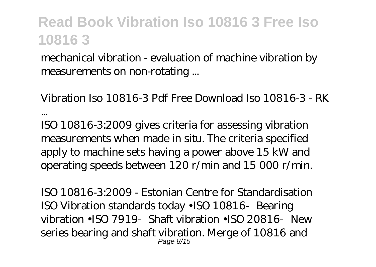mechanical vibration - evaluation of machine vibration by measurements on non-rotating ...

*Vibration Iso 10816-3 Pdf Free Download Iso 10816-3 - RK ...*

ISO 10816-3:2009 gives criteria for assessing vibration measurements when made in situ. The criteria specified apply to machine sets having a power above 15 kW and operating speeds between 120 r/min and 15 000 r/min.

*ISO 10816-3:2009 - Estonian Centre for Standardisation* ISO Vibration standards today •ISO 10816‐Bearing vibration •ISO 7919 Shaft vibration •ISO 20816 New series bearing and shaft vibration. Merge of 10816 and Page 8/15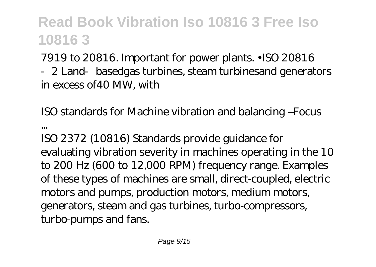7919 to 20816. Important for power plants. •ISO 20816 ‐2 Land‐basedgas turbines, steam turbinesand generators in excess of40 MW, with

*ISO standards for Machine vibration and balancing –Focus*

*...* ISO 2372 (10816) Standards provide guidance for evaluating vibration severity in machines operating in the 10 to 200 Hz (600 to 12,000 RPM) frequency range. Examples of these types of machines are small, direct-coupled, electric motors and pumps, production motors, medium motors, generators, steam and gas turbines, turbo-compressors, turbo-pumps and fans.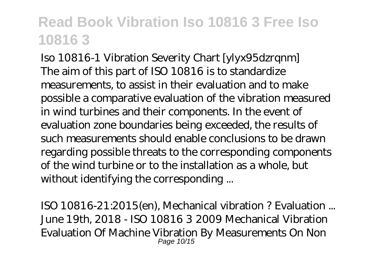*Iso 10816-1 Vibration Severity Chart [ylyx95dzrqnm]* The aim of this part of ISO 10816 is to standardize measurements, to assist in their evaluation and to make possible a comparative evaluation of the vibration measured in wind turbines and their components. In the event of evaluation zone boundaries being exceeded, the results of such measurements should enable conclusions to be drawn regarding possible threats to the corresponding components of the wind turbine or to the installation as a whole, but without identifying the corresponding ...

*ISO 10816-21:2015(en), Mechanical vibration ? Evaluation ...* June 19th, 2018 - ISO 10816 3 2009 Mechanical Vibration Evaluation Of Machine Vibration By Measurements On Non Page 10/15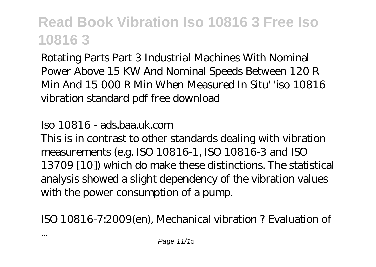Rotating Parts Part 3 Industrial Machines With Nominal Power Above 15 KW And Nominal Speeds Between 120 R Min And 15 000 R Min When Measured In Situ' 'iso 10816 vibration standard pdf free download

#### *Iso 10816 - ads.baa.uk.com*

This is in contrast to other standards dealing with vibration measurements (e.g. ISO 10816-1, ISO 10816-3 and ISO 13709 [10]) which do make these distinctions. The statistical analysis showed a slight dependency of the vibration values with the power consumption of a pump.

*ISO 10816-7:2009(en), Mechanical vibration ? Evaluation of*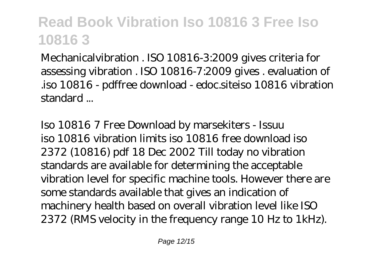Mechanicalvibration . ISO 10816-3:2009 gives criteria for assessing vibration . ISO 10816-7:2009 gives . evaluation of .iso 10816 - pdffree download - edoc.siteiso 10816 vibration standard ...

*Iso 10816 7 Free Download by marsekiters - Issuu* iso 10816 vibration limits iso 10816 free download iso 2372 (10816) pdf 18 Dec 2002 Till today no vibration standards are available for determining the acceptable vibration level for specific machine tools. However there are some standards available that gives an indication of machinery health based on overall vibration level like ISO 2372 (RMS velocity in the frequency range 10 Hz to 1kHz).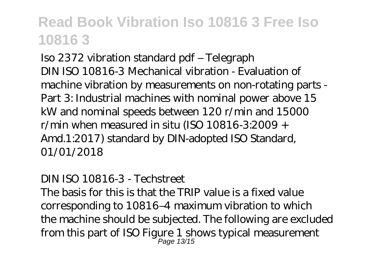*Iso 2372 vibration standard pdf – Telegraph* DIN ISO 10816-3 Mechanical vibration - Evaluation of machine vibration by measurements on non-rotating parts - Part 3: Industrial machines with nominal power above 15 kW and nominal speeds between 120 r/min and 15000 r/min when measured in situ (ISO 10816-3:2009 + Amd.1:2017) standard by DIN-adopted ISO Standard, 01/01/2018

#### *DIN ISO 10816-3 - Techstreet*

The basis for this is that the TRIP value is a fixed value corresponding to 10816–4 maximum vibration to which the machine should be subjected. The following are excluded from this part of ISO Figure 1 shows typical measurement Page 13/15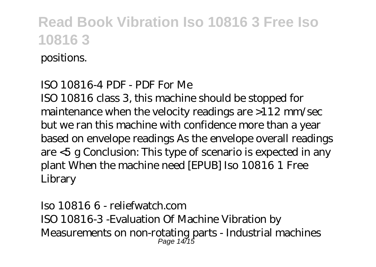#### positions.

#### *ISO 10816-4 PDF - PDF For Me*

ISO 10816 class 3, this machine should be stopped for maintenance when the velocity readings are >112 mm/sec but we ran this machine with confidence more than a year based on envelope readings As the envelope overall readings are <5 g Conclusion: This type of scenario is expected in any plant When the machine need [EPUB] Iso 10816 1 Free Library

*Iso 10816 6 - reliefwatch.com* ISO 10816-3 -Evaluation Of Machine Vibration by Measurements on non-rotating parts - Industrial machines Page 14/15